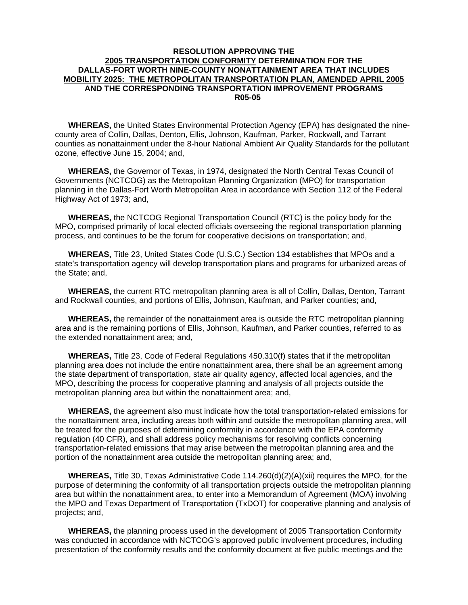## **RESOLUTION APPROVING THE 2005 TRANSPORTATION CONFORMITY DETERMINATION FOR THE DALLAS-FORT WORTH NINE-COUNTY NONATTAINMENT AREA THAT INCLUDES MOBILITY 2025: THE METROPOLITAN TRANSPORTATION PLAN, AMENDED APRIL 2005 AND THE CORRESPONDING TRANSPORTATION IMPROVEMENT PROGRAMS R05-05**

 **WHEREAS,** the United States Environmental Protection Agency (EPA) has designated the ninecounty area of Collin, Dallas, Denton, Ellis, Johnson, Kaufman, Parker, Rockwall, and Tarrant counties as nonattainment under the 8-hour National Ambient Air Quality Standards for the pollutant ozone, effective June 15, 2004; and,

 **WHEREAS,** the Governor of Texas, in 1974, designated the North Central Texas Council of Governments (NCTCOG) as the Metropolitan Planning Organization (MPO) for transportation planning in the Dallas-Fort Worth Metropolitan Area in accordance with Section 112 of the Federal Highway Act of 1973; and,

 **WHEREAS,** the NCTCOG Regional Transportation Council (RTC) is the policy body for the MPO, comprised primarily of local elected officials overseeing the regional transportation planning process, and continues to be the forum for cooperative decisions on transportation; and,

 **WHEREAS,** Title 23, United States Code (U.S.C.) Section 134 establishes that MPOs and a state's transportation agency will develop transportation plans and programs for urbanized areas of the State; and,

 **WHEREAS,** the current RTC metropolitan planning area is all of Collin, Dallas, Denton, Tarrant and Rockwall counties, and portions of Ellis, Johnson, Kaufman, and Parker counties; and,

 **WHEREAS,** the remainder of the nonattainment area is outside the RTC metropolitan planning area and is the remaining portions of Ellis, Johnson, Kaufman, and Parker counties, referred to as the extended nonattainment area; and,

 **WHEREAS,** Title 23, Code of Federal Regulations 450.310(f) states that if the metropolitan planning area does not include the entire nonattainment area, there shall be an agreement among the state department of transportation, state air quality agency, affected local agencies, and the MPO, describing the process for cooperative planning and analysis of all projects outside the metropolitan planning area but within the nonattainment area; and,

 **WHEREAS,** the agreement also must indicate how the total transportation-related emissions for the nonattainment area, including areas both within and outside the metropolitan planning area, will be treated for the purposes of determining conformity in accordance with the EPA conformity regulation (40 CFR), and shall address policy mechanisms for resolving conflicts concerning transportation-related emissions that may arise between the metropolitan planning area and the portion of the nonattainment area outside the metropolitan planning area; and,

 **WHEREAS,** Title 30, Texas Administrative Code 114.260(d)(2)(A)(xii) requires the MPO, for the purpose of determining the conformity of all transportation projects outside the metropolitan planning area but within the nonattainment area, to enter into a Memorandum of Agreement (MOA) involving the MPO and Texas Department of Transportation (TxDOT) for cooperative planning and analysis of projects; and,

 **WHEREAS,** the planning process used in the development of 2005 Transportation Conformity was conducted in accordance with NCTCOG's approved public involvement procedures, including presentation of the conformity results and the conformity document at five public meetings and the